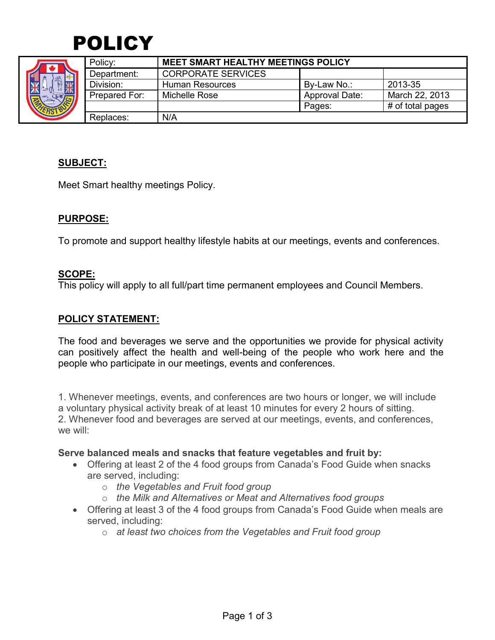



|  | Policy:       | <b>MEET SMART HEALTHY MEETINGS POLICY</b> |                       |                  |
|--|---------------|-------------------------------------------|-----------------------|------------------|
|  | Department:   | <b>CORPORATE SERVICES</b>                 |                       |                  |
|  | Division:     | <b>Human Resources</b>                    | By-Law No.:           | 2013-35          |
|  | Prepared For: | Michelle Rose                             | <b>Approval Date:</b> | March 22, 2013   |
|  |               |                                           | Pages:                | # of total pages |
|  | Replaces:     | N/A                                       |                       |                  |

# **SUBJECT:**

Meet Smart healthy meetings Policy.

# **PURPOSE:**

To promote and support healthy lifestyle habits at our meetings, events and conferences.

### **SCOPE:**

This policy will apply to all full/part time permanent employees and Council Members.

# **POLICY STATEMENT:**

The food and beverages we serve and the opportunities we provide for physical activity can positively affect the health and well-being of the people who work here and the people who participate in our meetings, events and conferences.

1. Whenever meetings, events, and conferences are two hours or longer, we will include a voluntary physical activity break of at least 10 minutes for every 2 hours of sitting. 2. Whenever food and beverages are served at our meetings, events, and conferences, we will:

#### **Serve balanced meals and snacks that feature vegetables and fruit by:**

- Offering at least 2 of the 4 food groups from Canada's Food Guide when snacks are served, including:
	- o *the Vegetables and Fruit food group*
	- o *the Milk and Alternatives or Meat and Alternatives food groups*
- Offering at least 3 of the 4 food groups from Canada's Food Guide when meals are served, including:
	- o *at least two choices from the Vegetables and Fruit food group*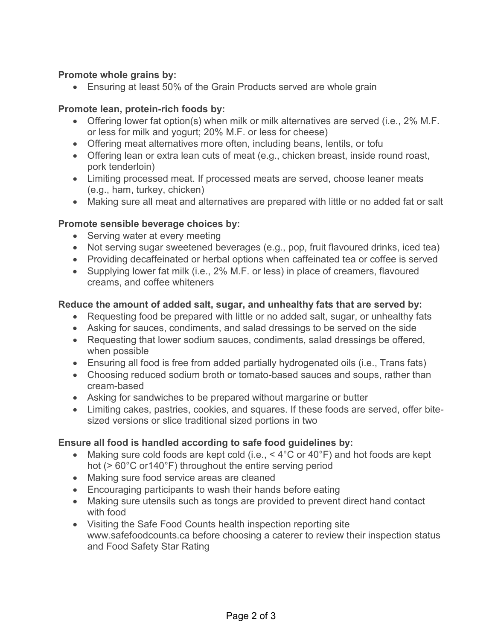# **Promote whole grains by:**

Ensuring at least 50% of the Grain Products served are whole grain

### **Promote lean, protein-rich foods by:**

- Offering lower fat option(s) when milk or milk alternatives are served (i.e., 2% M.F. or less for milk and yogurt; 20% M.F. or less for cheese)
- Offering meat alternatives more often, including beans, lentils, or tofu
- Offering lean or extra lean cuts of meat (e.g., chicken breast, inside round roast, pork tenderloin)
- Limiting processed meat. If processed meats are served, choose leaner meats (e.g., ham, turkey, chicken)
- Making sure all meat and alternatives are prepared with little or no added fat or salt

### **Promote sensible beverage choices by:**

- Serving water at every meeting
- Not serving sugar sweetened beverages (e.g., pop, fruit flavoured drinks, iced tea)
- Providing decaffeinated or herbal options when caffeinated tea or coffee is served
- Supplying lower fat milk (i.e., 2% M.F. or less) in place of creamers, flavoured creams, and coffee whiteners

### **Reduce the amount of added salt, sugar, and unhealthy fats that are served by:**

- Requesting food be prepared with little or no added salt, sugar, or unhealthy fats
- Asking for sauces, condiments, and salad dressings to be served on the side
- Requesting that lower sodium sauces, condiments, salad dressings be offered, when possible
- Ensuring all food is free from added partially hydrogenated oils (i.e., Trans fats)
- Choosing reduced sodium broth or tomato-based sauces and soups, rather than cream-based
- Asking for sandwiches to be prepared without margarine or butter
- Limiting cakes, pastries, cookies, and squares. If these foods are served, offer bitesized versions or slice traditional sized portions in two

# **Ensure all food is handled according to safe food guidelines by:**

- Making sure cold foods are kept cold (i.e.,  $\leq 4^{\circ}$ C or  $40^{\circ}$ F) and hot foods are kept hot (> 60°C or140°F) throughout the entire serving period
- Making sure food service areas are cleaned
- Encouraging participants to wash their hands before eating
- Making sure utensils such as tongs are provided to prevent direct hand contact with food
- Visiting the Safe Food Counts health inspection reporting site www.safefoodcounts.ca before choosing a caterer to review their inspection status and Food Safety Star Rating